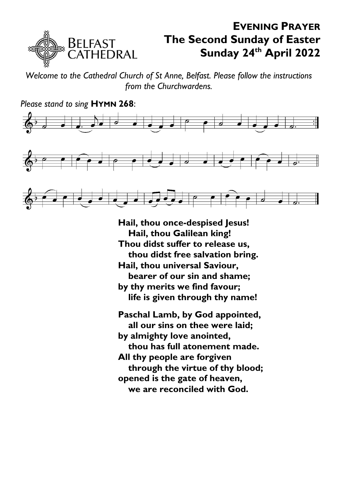

# **EVENING PRAYER The Second Sunday of Easter Sunday 24th April 2022**

*Welcome to the Cathedral Church of St Anne, Belfast. Please follow the instructions from the Churchwardens.*



**Hail, thou once-despised Jesus! Hail, thou Galilean king! Thou didst suffer to release us, thou didst free salvation bring. Hail, thou universal Saviour, bearer of our sin and shame; by thy merits we find favour; life is given through thy name!**

**Paschal Lamb, by God appointed, all our sins on thee were laid; by almighty love anointed, thou has full atonement made. All thy people are forgiven through the virtue of thy blood; opened is the gate of heaven, we are reconciled with God.**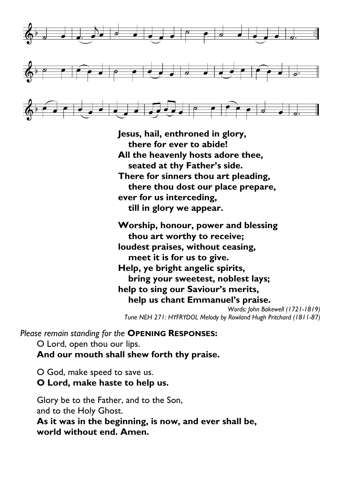

**Jesus, hail, enthroned in glory, there for ever to abide! All the heavenly hosts adore thee, seated at thy Father's side. There for sinners thou art pleading, there thou dost our place prepare, ever for us interceding, till in glory we appear.**

**Worship, honour, power and blessing thou art worthy to receive; loudest praises, without ceasing, meet it is for us to give. Help, ye bright angelic spirits, bring your sweetest, noblest lays; help to sing our Saviour's merits, help us chant Emmanuel's praise.** *Words: John Bakewell (1721-1819)*

*Tune NEH 271: HYFRYDOL Melody by Rowland Hugh Pritchard (1811-87)*

*Please remain standing for the* **OPENING RESPONSES:** O Lord, open thou our lips. **And our mouth shall shew forth thy praise.**

O God, make speed to save us.

**O Lord, make haste to help us.**

Glory be to the Father, and to the Son, and to the Holy Ghost. **As it was in the beginning, is now, and ever shall be, world without end. Amen.**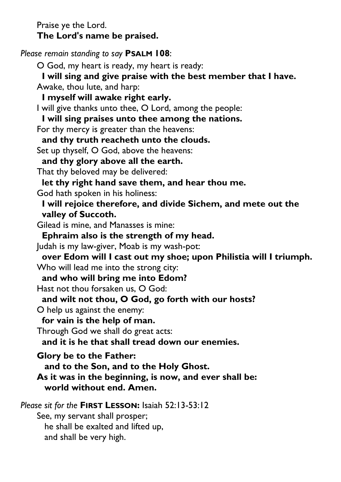Praise ye the Lord. **The Lord's name be praised.**

*Please remain standing to say* **PSALM 108**: O God, my heart is ready, my heart is ready: **I will sing and give praise with the best member that I have.** Awake, thou lute, and harp: **I myself will awake right early.** I will give thanks unto thee, O Lord, among the people: **I will sing praises unto thee among the nations.** For thy mercy is greater than the heavens: **and thy truth reacheth unto the clouds.** Set up thyself, O God, above the heavens: **and thy glory above all the earth.** That thy beloved may be delivered: **let thy right hand save them, and hear thou me.** God hath spoken in his holiness: **I will rejoice therefore, and divide Sichem, and mete out the valley of Succoth.** Gilead is mine, and Manasses is mine: **Ephraim also is the strength of my head.** Judah is my law-giver, Moab is my wash-pot: **over Edom will I cast out my shoe; upon Philistia will I triumph.** Who will lead me into the strong city: **and who will bring me into Edom?** Hast not thou forsaken us, O God: **and wilt not thou, O God, go forth with our hosts?** O help us against the enemy: **for vain is the help of man.** Through God we shall do great acts: **and it is he that shall tread down our enemies.**

**Glory be to the Father: and to the Son, and to the Holy Ghost. As it was in the beginning, is now, and ever shall be: world without end. Amen.**

*Please sit for the* **FIRST LESSON:** Isaiah 52:13-53:12 See, my servant shall prosper; he shall be exalted and lifted up,

and shall be very high.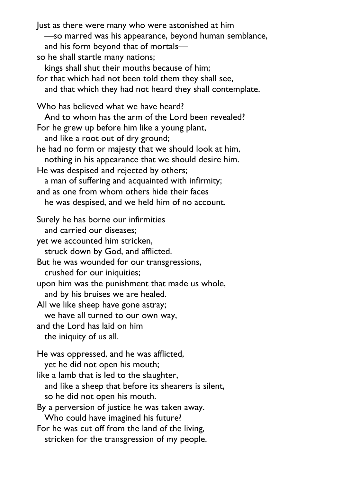Just as there were many who were astonished at him —so marred was his appearance, beyond human semblance, and his form beyond that of mortals so he shall startle many nations; kings shall shut their mouths because of him; for that which had not been told them they shall see, and that which they had not heard they shall contemplate. Who has believed what we have heard? And to whom has the arm of the Lord been revealed? For he grew up before him like a young plant, and like a root out of dry ground; he had no form or majesty that we should look at him, nothing in his appearance that we should desire him. He was despised and rejected by others; a man of suffering and acquainted with infirmity; and as one from whom others hide their faces he was despised, and we held him of no account. Surely he has borne our infirmities and carried our diseases; yet we accounted him stricken, struck down by God, and afflicted. But he was wounded for our transgressions, crushed for our iniquities; upon him was the punishment that made us whole, and by his bruises we are healed. All we like sheep have gone astray; we have all turned to our own way, and the Lord has laid on him the iniquity of us all. He was oppressed, and he was afflicted, yet he did not open his mouth; like a lamb that is led to the slaughter, and like a sheep that before its shearers is silent, so he did not open his mouth. By a perversion of justice he was taken away. Who could have imagined his future? For he was cut off from the land of the living, stricken for the transgression of my people.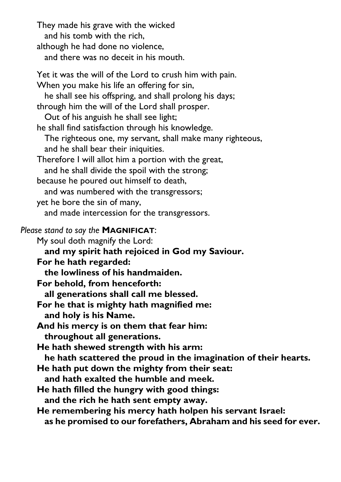They made his grave with the wicked and his tomb with the rich, although he had done no violence, and there was no deceit in his mouth. Yet it was the will of the Lord to crush him with pain. When you make his life an offering for sin, he shall see his offspring, and shall prolong his days; through him the will of the Lord shall prosper. Out of his anguish he shall see light; he shall find satisfaction through his knowledge. The righteous one, my servant, shall make many righteous, and he shall bear their iniquities. Therefore I will allot him a portion with the great, and he shall divide the spoil with the strong; because he poured out himself to death, and was numbered with the transgressors; yet he bore the sin of many, and made intercession for the transgressors. *Please stand to say the* **MAGNIFICAT**: My soul doth magnify the Lord:  **and my spirit hath rejoiced in God my Saviour. For he hath regarded: the lowliness of his handmaiden. For behold, from henceforth: all generations shall call me blessed. For he that is mighty hath magnified me: and holy is his Name. And his mercy is on them that fear him: throughout all generations. He hath shewed strength with his arm: he hath scattered the proud in the imagination of their hearts. He hath put down the mighty from their seat: and hath exalted the humble and meek. He hath filled the hungry with good things: and the rich he hath sent empty away. He remembering his mercy hath holpen his servant Israel: as he promised to our forefathers, Abraham and his seed for ever.**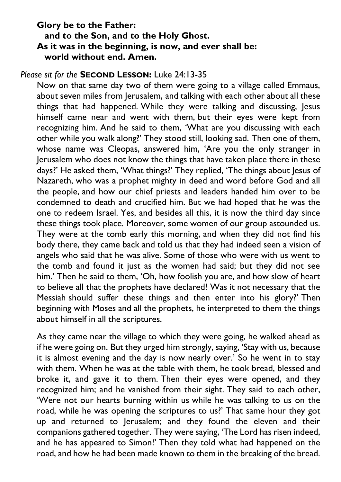## **Glory be to the Father: and to the Son, and to the Holy Ghost. As it was in the beginning, is now, and ever shall be: world without end. Amen.**

#### *Please sit for the* **SECOND LESSON:** Luke 24:13-35

Now on that same day two of them were going to a village called Emmaus, about seven miles from Jerusalem, and talking with each other about all these things that had happened. While they were talking and discussing, Jesus himself came near and went with them, but their eyes were kept from recognizing him. And he said to them, 'What are you discussing with each other while you walk along?' They stood still, looking sad. Then one of them, whose name was Cleopas, answered him, 'Are you the only stranger in Jerusalem who does not know the things that have taken place there in these days?' He asked them, 'What things?' They replied, 'The things about Jesus of Nazareth, who was a prophet mighty in deed and word before God and all the people, and how our chief priests and leaders handed him over to be condemned to death and crucified him. But we had hoped that he was the one to redeem Israel. Yes, and besides all this, it is now the third day since these things took place. Moreover, some women of our group astounded us. They were at the tomb early this morning, and when they did not find his body there, they came back and told us that they had indeed seen a vision of angels who said that he was alive. Some of those who were with us went to the tomb and found it just as the women had said; but they did not see him.' Then he said to them, 'Oh, how foolish you are, and how slow of heart to believe all that the prophets have declared! Was it not necessary that the Messiah should suffer these things and then enter into his glory?' Then beginning with Moses and all the prophets, he interpreted to them the things about himself in all the scriptures.

As they came near the village to which they were going, he walked ahead as if he were going on. But they urged him strongly, saying, 'Stay with us, because it is almost evening and the day is now nearly over.' So he went in to stay with them. When he was at the table with them, he took bread, blessed and broke it, and gave it to them. Then their eyes were opened, and they recognized him; and he vanished from their sight. They said to each other, 'Were not our hearts burning within us while he was talking to us on the road, while he was opening the scriptures to us?' That same hour they got up and returned to Jerusalem; and they found the eleven and their companions gathered together. They were saying, 'The Lord has risen indeed, and he has appeared to Simon!' Then they told what had happened on the road, and how he had been made known to them in the breaking of the bread.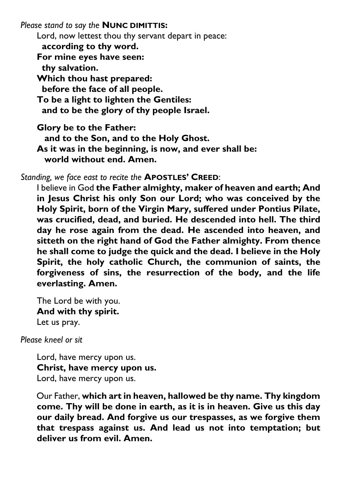*Please stand to say the* **NUNC DIMITTIS:** Lord, now lettest thou thy servant depart in peace:  **according to thy word. For mine eyes have seen: thy salvation. Which thou hast prepared: before the face of all people. To be a light to lighten the Gentiles: and to be the glory of thy people Israel. Glory be to the Father:**

 **and to the Son, and to the Holy Ghost. As it was in the beginning, is now, and ever shall be: world without end. Amen.**

*Standing, we face east to recite the* **APOSTLES' CREED**:

I believe in God **the Father almighty, maker of heaven and earth; And in Jesus Christ his only Son our Lord; who was conceived by the Holy Spirit, born of the Virgin Mary, suffered under Pontius Pilate, was crucified, dead, and buried. He descended into hell. The third day he rose again from the dead. He ascended into heaven, and sitteth on the right hand of God the Father almighty. From thence he shall come to judge the quick and the dead. I believe in the Holy Spirit, the holy catholic Church, the communion of saints, the forgiveness of sins, the resurrection of the body, and the life everlasting. Amen.**

The Lord be with you. **And with thy spirit.** Let us pray.

*Please kneel or sit*

Lord, have mercy upon us. **Christ, have mercy upon us.**  Lord, have mercy upon us.

Our Father, **which art in heaven, hallowed be thy name. Thy kingdom come. Thy will be done in earth, as it is in heaven. Give us this day our daily bread. And forgive us our trespasses, as we forgive them that trespass against us. And lead us not into temptation; but deliver us from evil. Amen.**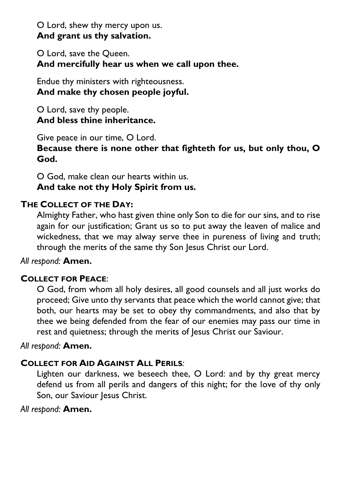O Lord, shew thy mercy upon us. **And grant us thy salvation.**

O Lord, save the Queen. **And mercifully hear us when we call upon thee.**

Endue thy ministers with righteousness. **And make thy chosen people joyful.**

O Lord, save thy people. **And bless thine inheritance.**

Give peace in our time, O Lord.

**Because there is none other that fighteth for us, but only thou, O God.**

O God, make clean our hearts within us. **And take not thy Holy Spirit from us.**

#### **THE COLLECT OF THE DAY:**

Almighty Father, who hast given thine only Son to die for our sins, and to rise again for our justification; Grant us so to put away the leaven of malice and wickedness, that we may alway serve thee in pureness of living and truth; through the merits of the same thy Son Jesus Christ our Lord.

*All respond:* **Amen.**

## **COLLECT FOR PEACE**:

O God, from whom all holy desires, all good counsels and all just works do proceed; Give unto thy servants that peace which the world cannot give; that both, our hearts may be set to obey thy commandments, and also that by thee we being defended from the fear of our enemies may pass our time in rest and quietness; through the merits of Jesus Christ our Saviour.

*All respond:* **Amen.**

#### **COLLECT FOR AID AGAINST ALL PERILS***:*

Lighten our darkness, we beseech thee, O Lord: and by thy great mercy defend us from all perils and dangers of this night; for the love of thy only Son, our Saviour Jesus Christ.

*All respond:* **Amen.**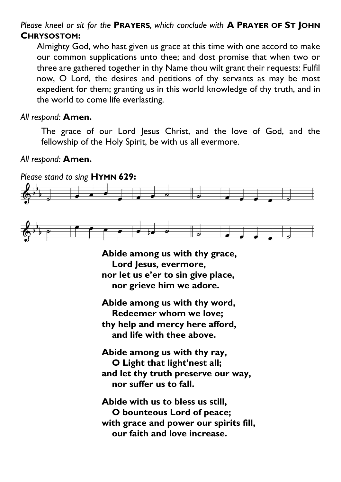## *Please kneel or sit for the* **PRAYERS***, which conclude with* **A PRAYER OF ST JOHN CHRYSOSTOM:**

Almighty God, who hast given us grace at this time with one accord to make our common supplications unto thee; and dost promise that when two or three are gathered together in thy Name thou wilt grant their requests: Fulfil now, O Lord, the desires and petitions of thy servants as may be most expedient for them; granting us in this world knowledge of thy truth, and in the world to come life everlasting.

#### *All respond:* **Amen.**

The grace of our Lord Jesus Christ, and the love of God, and the fellowship of the Holy Spirit, be with us all evermore.

## *All respond:* **Amen.**



**Abide among us with thy grace, Lord Jesus, evermore, nor let us e'er to sin give place, nor grieve him we adore.**

**Abide among us with thy word, Redeemer whom we love; thy help and mercy here afford, and life with thee above.**

**Abide among us with thy ray, O Light that light'nest all; and let thy truth preserve our way, nor suffer us to fall.**

**Abide with us to bless us still, O bounteous Lord of peace; with grace and power our spirits fill, our faith and love increase.**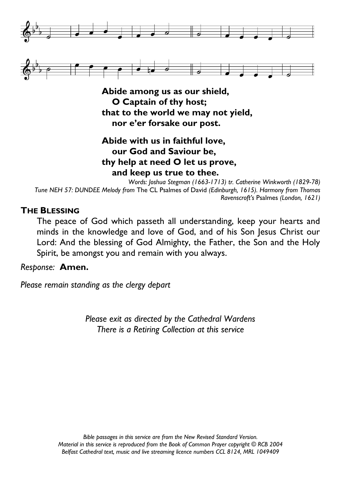

**Abide among us as our shield, O Captain of thy host; that to the world we may not yield, nor e'er forsake our post.**

## **Abide with us in faithful love, our God and Saviour be, thy help at need O let us prove, and keep us true to thee.**

*Words: Joshua Stegman (1663-1713) tr. Catherine Winkworth (1829-78) Tune NEH 57: DUNDEE Melody from* The CL Psalmes of David *(Edinburgh, 1615). Harmony from Thomas Ravenscroft's* Psalmes *(London, 1621)*

## **THE BLESSING**

The peace of God which passeth all understanding, keep your hearts and minds in the knowledge and love of God, and of his Son Jesus Christ our Lord: And the blessing of God Almighty, the Father, the Son and the Holy Spirit, be amongst you and remain with you always.

#### *Response:* **Amen.**

*Please remain standing as the clergy depart*

*Please exit as directed by the Cathedral Wardens There is a Retiring Collection at this service*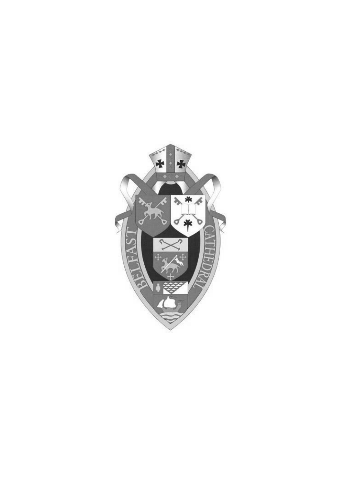